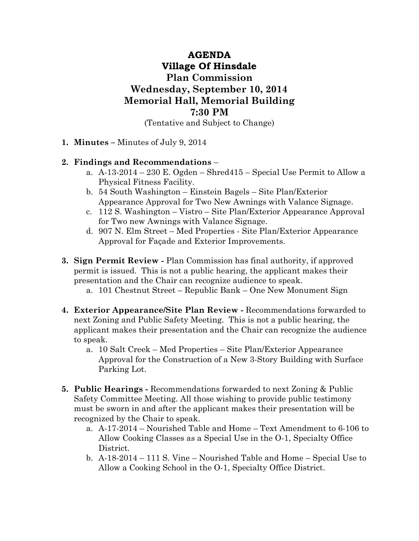## **AGENDA Village Of Hinsdale Plan Commission Wednesday, September 10, 2014 Memorial Hall, Memorial Building 7:30 PM**

(Tentative and Subject to Change)

**1. Minutes –** Minutes of July 9, 2014

## **2. Findings and Recommendations** –

- a. A-13-2014 230 E. Ogden Shred415 Special Use Permit to Allow a Physical Fitness Facility.
- b. 54 South Washington Einstein Bagels Site Plan/Exterior Appearance Approval for Two New Awnings with Valance Signage.
- c. 112 S. Washington Vistro Site Plan/Exterior Appearance Approval for Two new Awnings with Valance Signage.
- d. 907 N. Elm Street Med Properties Site Plan/Exterior Appearance Approval for Façade and Exterior Improvements.
- **3. Sign Permit Review** Plan Commission has final authority, if approved permit is issued. This is not a public hearing, the applicant makes their presentation and the Chair can recognize audience to speak.
	- a. 101 Chestnut Street Republic Bank One New Monument Sign
- **4. Exterior Appearance/Site Plan Review** Recommendations forwarded to next Zoning and Public Safety Meeting. This is not a public hearing, the applicant makes their presentation and the Chair can recognize the audience to speak.
	- a. 10 Salt Creek Med Properties Site Plan/Exterior Appearance Approval for the Construction of a New 3-Story Building with Surface Parking Lot.
- **5. Public Hearings** Recommendations forwarded to next Zoning & Public Safety Committee Meeting. All those wishing to provide public testimony must be sworn in and after the applicant makes their presentation will be recognized by the Chair to speak.
	- a. A-17-2014 Nourished Table and Home Text Amendment to 6-106 to Allow Cooking Classes as a Special Use in the O-1, Specialty Office District.
	- b. A-18-2014 111 S. Vine Nourished Table and Home Special Use to Allow a Cooking School in the O-1, Specialty Office District.